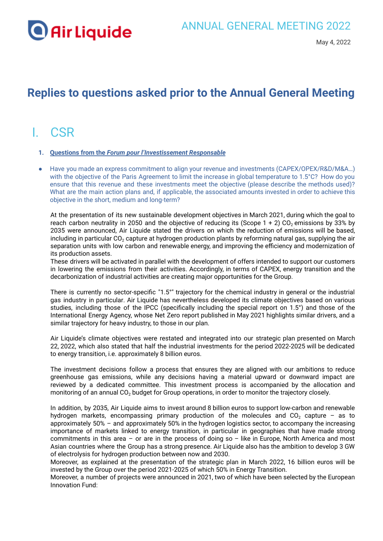

### **Replies to questions asked prior to the Annual General Meeting**

## I. CSR

- **1. Questions from the** *Forum pour l'Investissement Responsable*
- Have you made an express commitment to align your revenue and investments (CAPEX/OPEX/R&D/M&A…) with the objective of the Paris Agreement to limit the increase in global temperature to 1.5°C? How do you ensure that this revenue and these investments meet the objective (please describe the methods used)? What are the main action plans and, if applicable, the associated amounts invested in order to achieve this objective in the short, medium and long-term?

At the presentation of its new sustainable development objectives in March 2021, during which the goal to reach carbon neutrality in 2050 and the objective of reducing its (Scope  $1 + 2$ ) CO<sub>2</sub> emissions by 33% by 2035 were announced, Air Liquide stated the drivers on which the reduction of emissions will be based, including in particular CO<sub>2</sub> capture at hydrogen production plants by reforming natural gas, supplying the air separation units with low carbon and renewable energy, and improving the efficiency and modernization of its production assets.

These drivers will be activated in parallel with the development of offers intended to support our customers in lowering the emissions from their activities. Accordingly, in terms of CAPEX, energy transition and the decarbonization of industrial activities are creating major opportunities for the Group.

There is currently no sector-specific "1.5°" trajectory for the chemical industry in general or the industrial gas industry in particular. Air Liquide has nevertheless developed its climate objectives based on various studies, including those of the IPCC (specifically including the special report on 1.5°) and those of the International Energy Agency, whose Net Zero report published in May 2021 highlights similar drivers, and a similar trajectory for heavy industry, to those in our plan.

Air Liquide's climate objectives were restated and integrated into our strategic plan presented on March 22, 2022, which also stated that half the industrial investments for the period 2022-2025 will be dedicated to energy transition, i.e. approximately 8 billion euros.

The investment decisions follow a process that ensures they are aligned with our ambitions to reduce greenhouse gas emissions, while any decisions having a material upward or downward impact are reviewed by a dedicated committee. This investment process is accompanied by the allocation and monitoring of an annual CO<sub>2</sub> budget for Group operations, in order to monitor the trajectory closely.

In addition, by 2035, Air Liquide aims to invest around 8 billion euros to support low-carbon and renewable hydrogen markets, encompassing primary production of the molecules and  $CO<sub>2</sub>$  capture – as to approximately 50% – and approximately 50% in the hydrogen logistics sector, to accompany the increasing importance of markets linked to energy transition, in particular in geographies that have made strong commitments in this area – or are in the process of doing so – like in Europe, North America and most Asian countries where the Group has a strong presence. Air Liquide also has the ambition to develop 3 GW of electrolysis for hydrogen production between now and 2030.

Moreover, as explained at the presentation of the strategic plan in March 2022, 16 billion euros will be invested by the Group over the period 2021-2025 of which 50% in Energy Transition.

Moreover, a number of projects were announced in 2021, two of which have been selected by the European Innovation Fund: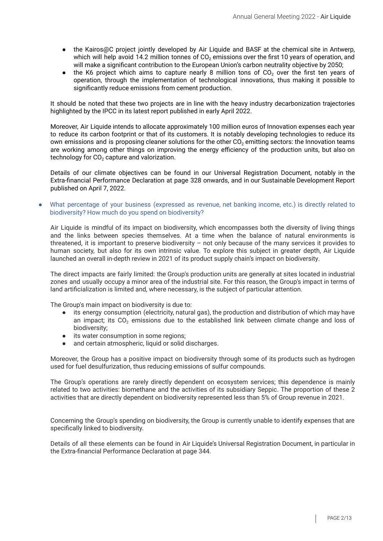- the Kairos@C project jointly developed by Air Liquide and BASF at the chemical site in Antwerp, which will help avoid 14.2 million tonnes of  $CO<sub>2</sub>$  emissions over the first 10 years of operation, and will make a significant contribution to the European Union's carbon neutrality objective by 2050;
- the K6 project which aims to capture nearly 8 million tons of  $CO<sub>2</sub>$  over the first ten years of operation, through the implementation of technological innovations, thus making it possible to significantly reduce emissions from cement production.

It should be noted that these two projects are in line with the heavy industry decarbonization trajectories highlighted by the IPCC in its latest report published in early April 2022.

Moreover, Air Liquide intends to allocate approximately 100 million euros of Innovation expenses each year to reduce its carbon footprint or that of its customers. It is notably developing technologies to reduce its own emissions and is proposing cleaner solutions for the other CO<sub>2</sub> emitting sectors: the Innovation teams are working among other things on improving the energy efficiency of the production units, but also on technology for  $CO<sub>2</sub>$  capture and valorization.

Details of our climate objectives can be found in our Universal Registration Document, notably in the Extra-financial Performance Declaration at page 328 onwards, and in our Sustainable Development Report published on April 7, 2022.

What percentage of your business (expressed as revenue, net banking income, etc.) is directly related to biodiversity? How much do you spend on biodiversity?

Air Liquide is mindful of its impact on biodiversity, which encompasses both the diversity of living things and the links between species themselves. At a time when the balance of natural environments is threatened, it is important to preserve biodiversity – not only because of the many services it provides to human society, but also for its own intrinsic value. To explore this subject in greater depth, Air Liquide launched an overall in-depth review in 2021 of its product supply chain's impact on biodiversity.

The direct impacts are fairly limited: the Group's production units are generally at sites located in industrial zones and usually occupy a minor area of the industrial site. For this reason, the Group's impact in terms of land artificialization is limited and, where necessary, is the subject of particular attention.

The Group's main impact on biodiversity is due to:

- its energy consumption (electricity, natural gas), the production and distribution of which may have an impact; its  $CO<sub>2</sub>$  emissions due to the established link between climate change and loss of biodiversity;
- its water consumption in some regions;
- and certain atmospheric, liquid or solid discharges.

Moreover, the Group has a positive impact on biodiversity through some of its products such as hydrogen used for fuel desulfurization, thus reducing emissions of sulfur compounds.

The Group's operations are rarely directly dependent on ecosystem services; this dependence is mainly related to two activities: biomethane and the activities of its subsidiary Seppic. The proportion of these 2 activities that are directly dependent on biodiversity represented less than 5% of Group revenue in 2021.

Concerning the Group's spending on biodiversity, the Group is currently unable to identify expenses that are specifically linked to biodiversity.

Details of all these elements can be found in Air Liquide's Universal Registration Document, in particular in the Extra-financial Performance Declaration at page 344.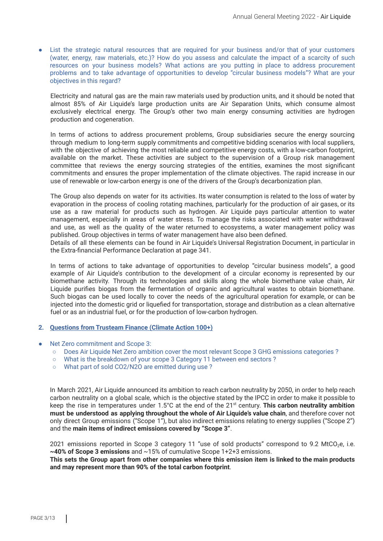● List the strategic natural resources that are required for your business and/or that of your customers (water, energy, raw materials, etc.)? How do you assess and calculate the impact of a scarcity of such resources on your business models? What actions are you putting in place to address procurement problems and to take advantage of opportunities to develop "circular business models"? What are your objectives in this regard?

Electricity and natural gas are the main raw materials used by production units, and it should be noted that almost 85% of Air Liquide's large production units are Air Separation Units, which consume almost exclusively electrical energy. The Group's other two main energy consuming activities are hydrogen production and cogeneration.

In terms of actions to address procurement problems, Group subsidiaries secure the energy sourcing through medium to long-term supply commitments and competitive bidding scenarios with local suppliers, with the objective of achieving the most reliable and competitive energy costs, with a low-carbon footprint, available on the market. These activities are subject to the supervision of a Group risk management committee that reviews the energy sourcing strategies of the entities, examines the most significant commitments and ensures the proper implementation of the climate objectives. The rapid increase in our use of renewable or low-carbon energy is one of the drivers of the Group's decarbonization plan.

The Group also depends on water for its activities. Its water consumption is related to the loss of water by evaporation in the process of cooling rotating machines, particularly for the production of air gases, or its use as a raw material for products such as hydrogen. Air Liquide pays particular attention to water management, especially in areas of water stress. To manage the risks associated with water withdrawal and use, as well as the quality of the water returned to ecosystems, a water management policy was published. Group objectives in terms of water management have also been defined.

Details of all these elements can be found in Air Liquide's Universal Registration Document, in particular in the Extra-financial Performance Declaration at page 341.

In terms of actions to take advantage of opportunities to develop "circular business models", a good example of Air Liquide's contribution to the development of a circular economy is represented by our biomethane activity. Through its technologies and skills along the whole biomethane value chain, Air Liquide purifies biogas from the fermentation of organic and agricultural wastes to obtain biomethane. Such biogas can be used locally to cover the needs of the agricultural operation for example, or can be injected into the domestic grid or liquefied for transportation, storage and distribution as a clean alternative fuel or as an industrial fuel, or for the production of low-carbon hydrogen.

#### **2. Questions from Trusteam Finance (Climate Action 100+)**

- Net Zero commitment and Scope 3:
	- Does Air Liquide Net Zero ambition cover the most relevant Scope 3 GHG emissions categories ?
	- What is the breakdown of your scope 3 Category 11 between end sectors ?
	- What part of sold CO2/N2O are emitted during use ?

In March 2021, Air Liquide announced its ambition to reach carbon neutrality by 2050, in order to help reach carbon neutrality on a global scale, which is the objective stated by the IPCC in order to make it possible to keep the rise in temperatures under 1.5°C at the end of the 21 st century. **This carbon neutrality ambition must be understood as applying throughout the whole of Air Liquide's value chain**, and therefore cover not only direct Group emissions ("Scope 1"), but also indirect emissions relating to energy supplies ("Scope 2") and the **main items of indirect emissions covered by "Scope 3"**.

2021 emissions reported in Scope 3 category 11 "use of sold products" correspond to 9.2 MtCO<sub>2</sub>e, i.e. **~40% of Scope 3 emissions** and ~15% of cumulative Scope 1+2+3 emissions.

This sets the Group apart from other companies where this emission item is linked to the main products **and may represent more than 90% of the total carbon footprint**.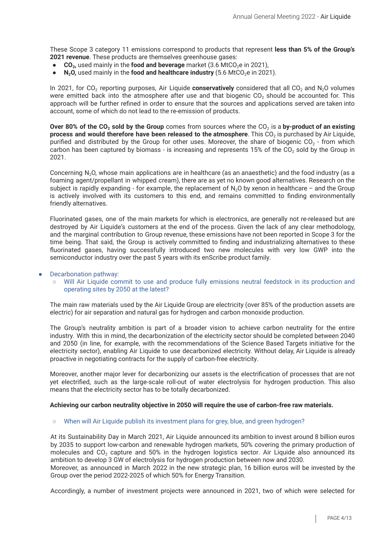These Scope 3 category 11 emissions correspond to products that represent **less than 5% of the Group's 2021 revenue**. These products are themselves greenhouse gases:

- **CO**<sub>2</sub>, used mainly in the **food and beverage** market (3.6 MtCO<sub>2</sub>e in 2021),
- **N<sub>2</sub>O**, used mainly in the **food and healthcare industry** (5.6 MtCO<sub>2</sub>e in 2021).

In 2021, for CO<sub>2</sub> reporting purposes, Air Liquide **conservatively** considered that all CO<sub>2</sub> and N<sub>2</sub>O volumes were emitted back into the atmosphere after use and that biogenic CO<sub>2</sub> should be accounted for. This approach will be further refined in order to ensure that the sources and applications served are taken into account, some of which do not lead to the re-emission of products.

**Over 80% of the CO<sup>2</sup> sold by the Group** comes from sources where the CO<sup>2</sup> is a **by-product of an existing process and would therefore have been released to the atmosphere. This CO<sub>2</sub> is purchased by Air Liquide,** purified and distributed by the Group for other uses. Moreover, the share of biogenic CO<sub>2</sub> - from which carbon has been captured by biomass - is increasing and represents 15% of the  $CO<sub>2</sub>$  sold by the Group in 2021.

Concerning N2O, whose main applications are in healthcare (as an anaesthetic) and the food industry (as a foaming agent/propellant in whipped cream), there are as yet no known good alternatives. Research on the subject is rapidly expanding - for example, the replacement of  $N<sub>2</sub>O$  by xenon in healthcare – and the Group is actively involved with its customers to this end, and remains committed to finding environmentally friendly alternatives.

Fluorinated gases, one of the main markets for which is electronics, are generally not re-released but are destroyed by Air Liquide's customers at the end of the process. Given the lack of any clear methodology, and the marginal contribution to Group revenue, these emissions have not been reported in Scope 3 for the time being. That said, the Group is actively committed to finding and industrializing alternatives to these fluorinated gases, having successfully introduced two new molecules with very low GWP into the semiconductor industry over the past 5 years with its enScribe product family.

#### Decarbonation pathway:

#### ○ Will Air Liquide commit to use and produce fully emissions neutral feedstock in its production and operating sites by 2050 at the latest?

The main raw materials used by the Air Liquide Group are electricity (over 85% of the production assets are electric) for air separation and natural gas for hydrogen and carbon monoxide production.

The Group's neutrality ambition is part of a broader vision to achieve carbon neutrality for the entire industry. With this in mind, the decarbonization of the electricity sector should be completed between 2040 and 2050 (in line, for example, with the recommendations of the Science Based Targets initiative for the electricity sector), enabling Air Liquide to use decarbonized electricity. Without delay, Air Liquide is already proactive in negotiating contracts for the supply of carbon-free electricity.

Moreover, another major lever for decarbonizing our assets is the electrification of processes that are not yet electrified, such as the large-scale roll-out of water electrolysis for hydrogen production. This also means that the electricity sector has to be totally decarbonized.

#### **Achieving our carbon neutrality objective in 2050 will require the use of carbon-free raw materials.**

#### ○ When will Air Liquide publish its investment plans for grey, blue, and green hydrogen?

At its Sustainability Day in March 2021, Air Liquide announced its ambition to invest around 8 billion euros by 2035 to support low-carbon and renewable hydrogen markets, 50% covering the primary production of molecules and  $CO<sub>2</sub>$  capture and 50% in the hydrogen logistics sector. Air Liquide also announced its ambition to develop 3 GW of electrolysis for hydrogen production between now and 2030.

Moreover, as announced in March 2022 in the new strategic plan, 16 billion euros will be invested by the Group over the period 2022-2025 of which 50% for Energy Transition.

Accordingly, a number of investment projects were announced in 2021, two of which were selected for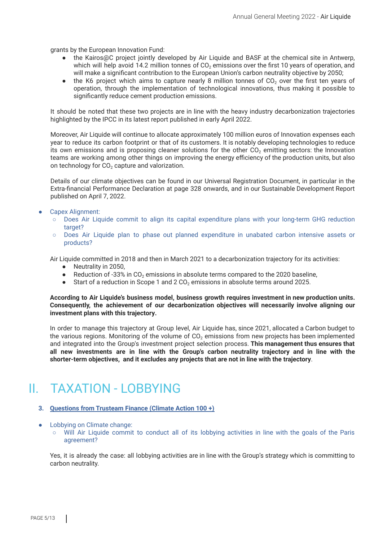grants by the European Innovation Fund:

- the Kairos@C project jointly developed by Air Liquide and BASF at the chemical site in Antwerp, which will help avoid 14.2 million tonnes of  $CO<sub>2</sub>$  emissions over the first 10 years of operation, and will make a significant contribution to the European Union's carbon neutrality objective by 2050;
- the K6 project which aims to capture nearly 8 million tonnes of  $CO<sub>2</sub>$  over the first ten years of operation, through the implementation of technological innovations, thus making it possible to significantly reduce cement production emissions.

It should be noted that these two projects are in line with the heavy industry decarbonization trajectories highlighted by the IPCC in its latest report published in early April 2022.

Moreover, Air Liquide will continue to allocate approximately 100 million euros of Innovation expenses each year to reduce its carbon footprint or that of its customers. It is notably developing technologies to reduce its own emissions and is proposing cleaner solutions for the other  $CO<sub>2</sub>$  emitting sectors: the Innovation teams are working among other things on improving the energy efficiency of the production units, but also on technology for  $CO<sub>2</sub>$  capture and valorization.

Details of our climate objectives can be found in our Universal Registration Document, in particular in the Extra-financial Performance Declaration at page 328 onwards, and in our Sustainable Development Report published on April 7, 2022.

#### Capex Alignment:

- Does Air Liquide commit to align its capital expenditure plans with your long-term GHG reduction target?
- Does Air Liquide plan to phase out planned expenditure in unabated carbon intensive assets or products?

Air Liquide committed in 2018 and then in March 2021 to a decarbonization trajectory for its activities:

- Neutrality in 2050,
- Reduction of -33% in  $CO<sub>2</sub>$  emissions in absolute terms compared to the 2020 baseline,
- $\bullet$  Start of a reduction in Scope 1 and 2 CO<sub>2</sub> emissions in absolute terms around 2025.

**According to Air Liquide's business model, business growth requires investment in new production units. Consequently, the achievement of our decarbonization objectives will necessarily involve aligning our investment plans with this trajectory.**

In order to manage this trajectory at Group level, Air Liquide has, since 2021, allocated a Carbon budget to the various regions. Monitoring of the volume of  $CO<sub>2</sub>$  emissions from new projects has been implemented and integrated into the Group's investment project selection process. **This management thus ensures that all new investments are in line with the Group's carbon neutrality trajectory and in line with the shorter-term objectives, and it excludes any projects that are not in line with the trajectory**.

### II. TAXATION - LOBBYING

#### **3. Questions from Trusteam Finance (Climate Action 100 +)**

- Lobbying on Climate change:
	- Will Air Liquide commit to conduct all of its lobbying activities in line with the goals of the Paris agreement?

Yes, it is already the case: all lobbying activities are in line with the Group's strategy which is committing to carbon neutrality.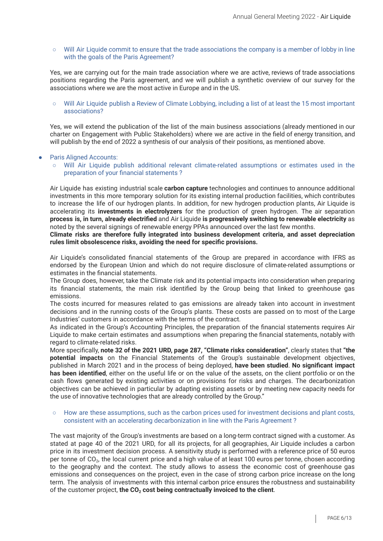○ Will Air Liquide commit to ensure that the trade associations the company is a member of lobby in line with the goals of the Paris Agreement?

Yes, we are carrying out for the main trade association where we are active, reviews of trade associations positions regarding the Paris agreement, and we will publish a synthetic overview of our survey for the associations where we are the most active in Europe and in the US.

#### ○ Will Air Liquide publish a Review of Climate Lobbying, including a list of at least the 15 most important associations?

Yes, we will extend the publication of the list of the main business associations (already mentioned in our charter on Engagement with Public Stakeholders) where we are active in the field of energy transition, and will publish by the end of 2022 a synthesis of our analysis of their positions, as mentioned above.

#### **Paris Aligned Accounts:**

Will Air Liquide publish additional relevant climate-related assumptions or estimates used in the preparation of your financial statements ?

Air Liquide has existing industrial scale **carbon capture** technologies and continues to announce additional investments in this more temporary solution for its existing internal production facilities, which contributes to increase the life of our hydrogen plants. In addition, for new hydrogen production plants, Air Liquide is accelerating its **investments in electrolyzers** for the production of green hydrogen. The air separation **process is, in turn, already electrified** and Air Liquide **is progressively switching to renewable electricity** as noted by the several signings of renewable energy PPAs announced over the last few months.

**Climate risks are therefore fully integrated into business development criteria, and asset depreciation rules limit obsolescence risks, avoiding the need for specific provisions.**

Air Liquide's consolidated financial statements of the Group are prepared in accordance with IFRS as endorsed by the European Union and which do not require disclosure of climate-related assumptions or estimates in the financial statements.

The Group does, however, take the Climate risk and its potential impacts into consideration when preparing its financial statements, the main risk identified by the Group being that linked to greenhouse gas emissions.

The costs incurred for measures related to gas emissions are already taken into account in investment decisions and in the running costs of the Group's plants. These costs are passed on to most of the Large Industries' customers in accordance with the terms of the contract.

As indicated in the Group's Accounting Principles, the preparation of the financial statements requires Air Liquide to make certain estimates and assumptions when preparing the financial statements, notably with regard to climate-related risks.

More specifically, **note 32 of the 2021 URD, page 287, "Climate risks consideration"**, clearly states that **"the potential impacts** on the Financial Statements of the Group's sustainable development objectives, published in March 2021 and in the process of being deployed, **have been studied**. **No significant impact has been identified**, either on the useful life or on the value of the assets, on the client portfolio or on the cash flows generated by existing activities or on provisions for risks and charges. The decarbonization objectives can be achieved in particular by adapting existing assets or by meeting new capacity needs for the use of innovative technologies that are already controlled by the Group."

#### How are these assumptions, such as the carbon prices used for investment decisions and plant costs, consistent with an accelerating decarbonization in line with the Paris Agreement ?

The vast majority of the Group's investments are based on a long-term contract signed with a customer. As stated at page 40 of the 2021 URD, for all its projects, for all geographies, Air Liquide includes a carbon price in its investment decision process. A sensitivity study is performed with a reference price of 50 euros per tonne of CO<sub>2</sub>, the local current price and a high value of at least 100 euros per tonne, chosen according to the geography and the context. The study allows to assess the economic cost of greenhouse gas emissions and consequences on the project, even in the case of strong carbon price increase on the long term. The analysis of investments with this internal carbon price ensures the robustness and sustainability of the customer project, **the CO<sup>2</sup> cost being contractually invoiced to the client**.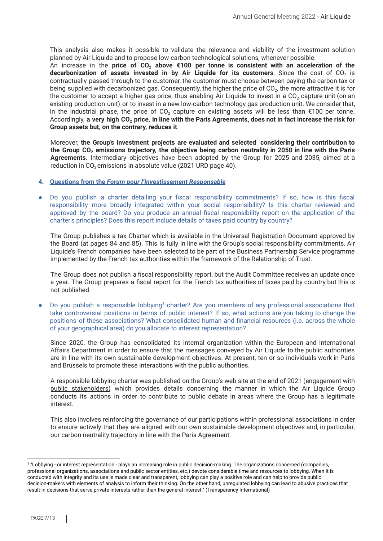This analysis also makes it possible to validate the relevance and viability of the investment solution planned by Air Liquide and to propose low-carbon technological solutions, whenever possible.

An increase in the **price of CO<sup>2</sup> above €100 per tonne is consistent with an acceleration of the decarbonization of assets invested in by Air Liquide for its customers. Since the cost of CO<sub>2</sub> is** contractually passed through to the customer, the customer must choose between paying the carbon tax or being supplied with decarbonized gas. Consequently, the higher the price of CO<sub>2</sub>, the more attractive it is for the customer to accept a higher gas price, thus enabling Air Liquide to invest in a  $CO<sub>2</sub>$  capture unit (on an existing production unit) or to invest in a new low-carbon technology gas production unit. We consider that, in the industrial phase, the price of  $CO<sub>2</sub>$  capture on existing assets will be less than  $\epsilon$ 100 per tonne. Accordingly, a very high CO<sub>2</sub> price, in line with the Paris Agreements, does not in fact increase the risk for **Group assets but, on the contrary, reduces it**.

Moreover, **the Group's investment projects are evaluated and selected considering their contribution to** the Group CO<sub>2</sub> emissions trajectory, the objective being carbon neutrality in 2050 in line with the Paris **Agreements**. Intermediary objectives have been adopted by the Group for 2025 and 2035, aimed at a reduction in  $CO<sub>2</sub>$  emissions in absolute value (2021 URD page 40).

#### **4. Questions from the** *Forum pour l'Investissement Responsable*

Do you publish a charter detailing your fiscal responsibility commitments? If so, how is this fiscal responsibility more broadly integrated within your social responsibility? Is this charter reviewed and approved by the board? Do you produce an annual fiscal responsibility report on the application of the charter's principles? Does this report include details of taxes paid country by country?

The Group publishes a tax Charter which is available in the Universal Registration Document approved by the Board (at pages 84 and 85). This is fully in line with the Group's social responsibility commitments. Air Liquide's French companies have been selected to be part of the Business Partnership Service programme implemented by the French tax authorities within the framework of the Relationship of Trust.

The Group does not publish a fiscal responsibility report, but the Audit Committee receives an update once a year. The Group prepares a fiscal report for the French tax authorities of taxes paid by country but this is not published.

 $\bullet$  Do you publish a responsible lobbying<sup>1</sup> charter? Are you members of any professional associations that take controversial positions in terms of public interest? If so, what actions are you taking to change the positions of these associations? What consolidated human and financial resources (i.e. across the whole of your geographical area) do you allocate to interest representation?

Since 2020, the Group has consolidated its internal organization within the European and International Affairs Department in order to ensure that the messages conveyed by Air Liquide to the public authorities are in line with its own sustainable development objectives. At present, ten or so individuals work in Paris and Brussels to promote these interactions with the public authorities.

A responsible lobbying charter was published on the Group's web site at the end of 2021 ([engagement](https://www.airliquide.com/sustainable-development/engagement-public-stakeholders) with public [stakeholders\)](https://www.airliquide.com/sustainable-development/engagement-public-stakeholders) which provides details concerning the manner in which the Air Liquide Group conducts its actions in order to contribute to public debate in areas where the Group has a legitimate interest.

This also involves reinforcing the governance of our participations within professional associations in order to ensure actively that they are aligned with our own sustainable development objectives and, in particular, our carbon neutrality trajectory in line with the Paris Agreement.

<sup>1</sup> "Lobbying - or interest representation - plays an increasing role in public decision-making. The organizations concerned (companies, professional organizations, associations and public sector entities, etc.) devote considerable time and resources to lobbying. When it is conducted with integrity and its use is made clear and transparent, lobbying can play a positive role and can help to provide public decision-makers with elements of analysis to inform their thinking. On the other hand, unregulated lobbying can lead to abusive practices that result in decisions that serve private interests rather than the general interest." (Transparency International)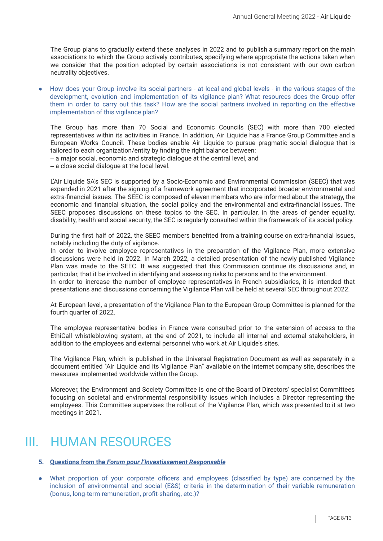The Group plans to gradually extend these analyses in 2022 and to publish a summary report on the main associations to which the Group actively contributes, specifying where appropriate the actions taken when we consider that the position adopted by certain associations is not consistent with our own carbon neutrality objectives.

How does your Group involve its social partners - at local and global levels - in the various stages of the development, evolution and implementation of its vigilance plan? What resources does the Group offer them in order to carry out this task? How are the social partners involved in reporting on the effective implementation of this vigilance plan?

The Group has more than 70 Social and Economic Councils (SEC) with more than 700 elected representatives within its activities in France. In addition, Air Liquide has a France Group Committee and a European Works Council. These bodies enable Air Liquide to pursue pragmatic social dialogue that is tailored to each organization/entity by finding the right balance between:

‒ a major social, economic and strategic dialogue at the central level, and

‒ a close social dialogue at the local level.

L'Air Liquide SA's SEC is supported by a Socio-Economic and Environmental Commission (SEEC) that was expanded in 2021 after the signing of a framework agreement that incorporated broader environmental and extra-financial issues. The SEEC is composed of eleven members who are informed about the strategy, the economic and financial situation, the social policy and the environmental and extra-financial issues. The SEEC proposes discussions on these topics to the SEC. In particular, in the areas of gender equality, disability, health and social security, the SEC is regularly consulted within the framework of its social policy.

During the first half of 2022, the SEEC members benefited from a training course on extra-financial issues, notably including the duty of vigilance.

In order to involve employee representatives in the preparation of the Vigilance Plan, more extensive discussions were held in 2022. In March 2022, a detailed presentation of the newly published Vigilance Plan was made to the SEEC. It was suggested that this Commission continue its discussions and, in particular, that it be involved in identifying and assessing risks to persons and to the environment.

In order to increase the number of employee representatives in French subsidiaries, it is intended that presentations and discussions concerning the Vigilance Plan will be held at several SEC throughout 2022.

At European level, a presentation of the Vigilance Plan to the European Group Committee is planned for the fourth quarter of 2022.

The employee representative bodies in France were consulted prior to the extension of access to the EthiCall whistleblowing system, at the end of 2021, to include all internal and external stakeholders, in addition to the employees and external personnel who work at Air Liquide's sites.

The Vigilance Plan, which is published in the Universal Registration Document as well as separately in a document entitled "Air Liquide and its Vigilance Plan" available on the internet company site, describes the measures implemented worldwide within the Group.

Moreover, the Environment and Society Committee is one of the Board of Directors' specialist Committees focusing on societal and environmental responsibility issues which includes a Director representing the employees. This Committee supervises the roll-out of the Vigilance Plan, which was presented to it at two meetings in 2021.

### III. HUMAN RESOURCES

#### **5. Questions from the** *Forum pour l'Investissement Responsable*

● What proportion of your corporate officers and employees (classified by type) are concerned by the inclusion of environmental and social (E&S) criteria in the determination of their variable remuneration (bonus, long-term remuneration, profit-sharing, etc.)?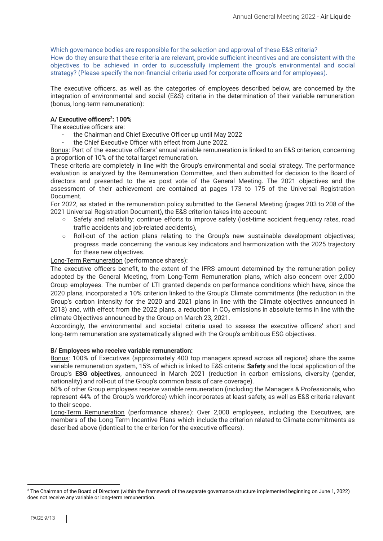Which governance bodies are responsible for the selection and approval of these E&S criteria? How do they ensure that these criteria are relevant, provide sufficient incentives and are consistent with the objectives to be achieved in order to successfully implement the group's environmental and social strategy? (Please specify the non-financial criteria used for corporate officers and for employees).

The executive officers, as well as the categories of employees described below, are concerned by the integration of environmental and social (E&S) criteria in the determination of their variable remuneration (bonus, long-term remuneration):

#### **A/ Executive officers : 100% 2**

The executive officers are:

- the Chairman and Chief Executive Officer up until May 2022
- the Chief Executive Officer with effect from June 2022.

Bonus: Part of the executive officers' annual variable remuneration is linked to an E&S criterion, concerning a proportion of 10% of the total target remuneration.

These criteria are completely in line with the Group's environmental and social strategy. The performance evaluation is analyzed by the Remuneration Committee, and then submitted for decision to the Board of directors and presented to the ex post vote of the General Meeting. The 2021 objectives and the assessment of their achievement are contained at pages 173 to 175 of the Universal Registration Document.

For 2022, as stated in the remuneration policy submitted to the General Meeting (pages 203 to 208 of the 2021 Universal Registration Document), the E&S criterion takes into account:

- Safety and reliability: continue efforts to improve safety (lost-time accident frequency rates, road traffic accidents and job-related accidents),
- Roll-out of the action plans relating to the Group's new sustainable development objectives; progress made concerning the various key indicators and harmonization with the 2025 trajectory for these new objectives.

Long-Term Remuneration (performance shares):

The executive officers benefit, to the extent of the IFRS amount determined by the remuneration policy adopted by the General Meeting, from Long-Term Remuneration plans, which also concern over 2,000 Group employees. The number of LTI granted depends on performance conditions which have, since the 2020 plans, incorporated a 10% criterion linked to the Group's Climate commitments (the reduction in the Group's carbon intensity for the 2020 and 2021 plans in line with the Climate objectives announced in 2018) and, with effect from the 2022 plans, a reduction in  $CO<sub>2</sub>$  emissions in absolute terms in line with the climate Objectives announced by the Group on March 23, 2021.

Accordingly, the environmental and societal criteria used to assess the executive officers' short and long-term remuneration are systematically aligned with the Group's ambitious ESG objectives.

#### **B/ Employees who receive variable remuneration:**

Bonus: 100% of Executives (approximately 400 top managers spread across all regions) share the same variable remuneration system, 15% of which is linked to E&S criteria: **Safety** and the local application of the Group's **ESG objectives**, announced in March 2021 (reduction in carbon emissions, diversity (gender, nationality) and roll-out of the Group's common basis of care coverage).

60% of other Group employees receive variable remuneration (including the Managers & Professionals, who represent 44% of the Group's workforce) which incorporates at least safety, as well as E&S criteria relevant to their scope.

Long-Term Remuneration (performance shares): Over 2,000 employees, including the Executives, are members of the Long Term Incentive Plans which include the criterion related to Climate commitments as described above (identical to the criterion for the executive officers).

<sup>&</sup>lt;sup>2</sup> The Chairman of the Board of Directors (within the framework of the separate governance structure implemented beginning on June 1, 2022) does not receive any variable or long-term remuneration.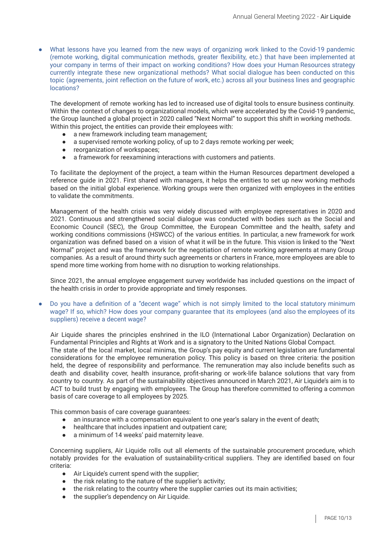● What lessons have you learned from the new ways of organizing work linked to the Covid-19 pandemic (remote working, digital communication methods, greater flexibility, etc.) that have been implemented at your company in terms of their impact on working conditions? How does your Human Resources strategy currently integrate these new organizational methods? What social dialogue has been conducted on this topic (agreements, joint reflection on the future of work, etc.) across all your business lines and geographic locations?

The development of remote working has led to increased use of digital tools to ensure business continuity. Within the context of changes to organizational models, which were accelerated by the Covid-19 pandemic, the Group launched a global project in 2020 called "Next Normal" to support this shift in working methods. Within this project, the entities can provide their employees with:

- a new framework including team management;
- a supervised remote working policy, of up to 2 days remote working per week;
- reorganization of workspaces:
- a framework for reexamining interactions with customers and patients.

To facilitate the deployment of the project, a team within the Human Resources department developed a reference guide in 2021. First shared with managers, it helps the entities to set up new working methods based on the initial global experience. Working groups were then organized with employees in the entities to validate the commitments.

Management of the health crisis was very widely discussed with employee representatives in 2020 and 2021. Continuous and strengthened social dialogue was conducted with bodies such as the Social and Economic Council (SEC), the Group Committee, the European Committee and the health, safety and working conditions commissions (HSWCC) of the various entities. In particular, a new framework for work organization was defined based on a vision of what it will be in the future. This vision is linked to the "Next Normal" project and was the framework for the negotiation of remote working agreements at many Group companies. As a result of around thirty such agreements or charters in France, more employees are able to spend more time working from home with no disruption to working relationships.

Since 2021, the annual employee engagement survey worldwide has included questions on the impact of the health crisis in order to provide appropriate and timely responses.

Do you have a definition of a "decent wage" which is not simply limited to the local statutory minimum wage? If so, which? How does your company guarantee that its employees (and also the employees of its suppliers) receive a decent wage?

Air Liquide shares the principles enshrined in the ILO (International Labor Organization) Declaration on Fundamental Principles and Rights at Work and is a signatory to the United Nations Global Compact. The state of the local market, local minima, the Group's pay equity and current legislation are fundamental considerations for the employee remuneration policy. This policy is based on three criteria: the position held, the degree of responsibility and performance. The remuneration may also include benefits such as death and disability cover, health insurance, profit-sharing or work-life balance solutions that vary from country to country. As part of the sustainability objectives announced in March 2021, Air Liquide's aim is to ACT to build trust by engaging with employees. The Group has therefore committed to offering a common basis of care coverage to all employees by 2025.

This common basis of care coverage guarantees:

- an insurance with a compensation equivalent to one year's salary in the event of death;
- healthcare that includes inpatient and outpatient care;
- a minimum of 14 weeks' paid maternity leave.

Concerning suppliers, Air Liquide rolls out all elements of the sustainable procurement procedure, which notably provides for the evaluation of sustainability-critical suppliers. They are identified based on four criteria:

- Air Liquide's current spend with the supplier;
- the risk relating to the nature of the supplier's activity;
- the risk relating to the country where the supplier carries out its main activities;
- the supplier's dependency on Air Liquide.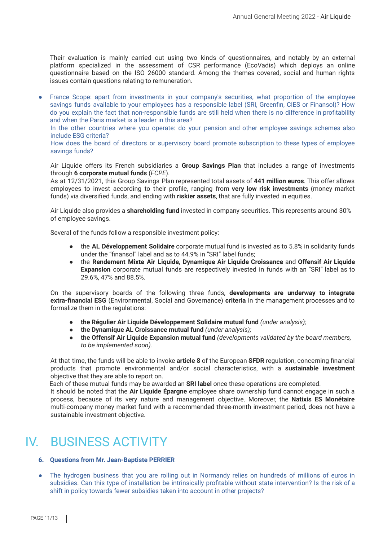Their evaluation is mainly carried out using two kinds of questionnaires, and notably by an external platform specialized in the assessment of CSR performance (EcoVadis) which deploys an online questionnaire based on the ISO 26000 standard. Among the themes covered, social and human rights issues contain questions relating to remuneration.

● France Scope: apart from investments in your company's securities, what proportion of the employee savings funds available to your employees has a responsible label (SRI, Greenfin, CIES or Finansol)? How do you explain the fact that non-responsible funds are still held when there is no difference in profitability and when the Paris market is a leader in this area?

In the other countries where you operate: do your pension and other employee savings schemes also include ESG criteria?

How does the board of directors or supervisory board promote subscription to these types of employee savings funds?

Air Liquide offers its French subsidiaries a **Group Savings Plan** that includes a range of investments through **6 corporate mutual funds** (*FCPE*).

As at 12/31/2021, this Group Savings Plan represented total assets of **441 million euros**. This offer allows employees to invest according to their profile, ranging from **very low risk investments** (money market funds) via diversified funds, and ending with **riskier assets**, that are fully invested in equities.

Air Liquide also provides a **shareholding fund** invested in company securities. This represents around 30% of employee savings.

Several of the funds follow a responsible investment policy:

- the **AL Développement Solidaire** corporate mutual fund is invested as to 5.8% in solidarity funds under the "finansol" label and as to 44.9% in "SRI" label funds;
- the **Rendement Mixte Air Liquide**, **Dynamique Air Liquide Croissance** and **Offensif Air Liquide Expansion** corporate mutual funds are respectively invested in funds with an "SRI" label as to 29.6%, 47% and 88.5%.

On the supervisory boards of the following three funds, **developments are underway to integrate extra-financial ESG** (Environmental, Social and Governance) **criteria** in the management processes and to formalize them in the regulations:

- **the Régulier Air Liquide Développement Solidaire mutual fund** *(under analysis);*
- **the Dynamique AL Croissance mutual fund** *(under analysis);*
- **the Offensif Air Liquide Expansion mutual fund** *(developments validated by the board members, to be implemented soon).*

At that time, the funds will be able to invoke **article 8** of the European **SFDR** regulation, concerning financial products that promote environmental and/or social characteristics, with a **sustainable investment** objective that they are able to report on.

Each of these mutual funds may be awarded an **SRI label** once these operations are completed.

It should be noted that the **Air Liquide Épargne** employee share ownership fund cannot engage in such a process, because of its very nature and management objective. Moreover, the **Natixis ES Monétaire** multi-company money market fund with a recommended three-month investment period, does not have a sustainable investment objective.

## IV. BUSINESS ACTIVITY

#### **6. Questions from Mr. Jean-Baptiste PERRIER**

• The hydrogen business that you are rolling out in Normandy relies on hundreds of millions of euros in subsidies. Can this type of installation be intrinsically profitable without state intervention? Is the risk of a shift in policy towards fewer subsidies taken into account in other projects?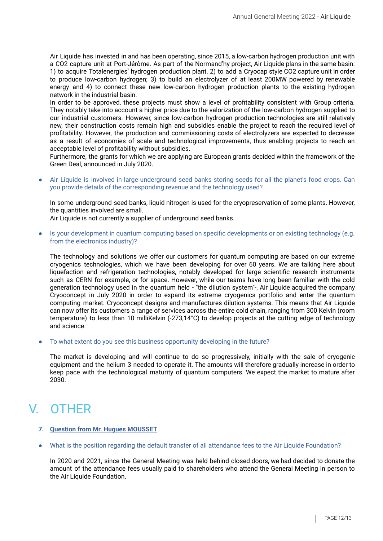Air Liquide has invested in and has been operating, since 2015, a low-carbon hydrogen production unit with a CO2 capture unit at Port-Jérôme. As part of the Normand'hy project, Air Liquide plans in the same basin: 1) to acquire Totalenergies' hydrogen production plant, 2) to add a Cryocap style CO2 capture unit in order to produce low-carbon hydrogen; 3) to build an electrolyzer of at least 200MW powered by renewable energy and 4) to connect these new low-carbon hydrogen production plants to the existing hydrogen network in the industrial basin.

In order to be approved, these projects must show a level of profitability consistent with Group criteria. They notably take into account a higher price due to the valorization of the low-carbon hydrogen supplied to our industrial customers. However, since low-carbon hydrogen production technologies are still relatively new, their construction costs remain high and subsidies enable the project to reach the required level of profitability. However, the production and commissioning costs of electrolyzers are expected to decrease as a result of economies of scale and technological improvements, thus enabling projects to reach an acceptable level of profitability without subsidies.

Furthermore, the grants for which we are applying are European grants decided within the framework of the Green Deal, announced in July 2020.

● Air Liquide is involved in large underground seed banks storing seeds for all the planet's food crops. Can you provide details of the corresponding revenue and the technology used?

In some underground seed banks, liquid nitrogen is used for the cryopreservation of some plants. However, the quantities involved are small.

Air Liquide is not currently a supplier of underground seed banks.

• Is your development in quantum computing based on specific developments or on existing technology (e.g. from the electronics industry)?

The technology and solutions we offer our customers for quantum computing are based on our extreme cryogenics technologies, which we have been developing for over 60 years. We are talking here about liquefaction and refrigeration technologies, notably developed for large scientific research instruments such as CERN for example, or for space. However, while our teams have long been familiar with the cold generation technology used in the quantum field - "the dilution system"-, Air Liquide acquired the company Cryoconcept in July 2020 in order to expand its extreme cryogenics portfolio and enter the quantum computing market. Cryoconcept designs and manufactures dilution systems. This means that Air Liquide can now offer its customers a range of services across the entire cold chain, ranging from 300 Kelvin (room temperature) to less than 10 milliKelvin (-273,14°C) to develop projects at the cutting edge of technology and science.

To what extent do you see this business opportunity developing in the future?

The market is developing and will continue to do so progressively, initially with the sale of cryogenic equipment and the helium 3 needed to operate it. The amounts will therefore gradually increase in order to keep pace with the technological maturity of quantum computers. We expect the market to mature after 2030.

# V. OTHER

- **7. Question from Mr. Hugues MOUSSET**
- What is the position regarding the default transfer of all attendance fees to the Air Liquide Foundation?

In 2020 and 2021, since the General Meeting was held behind closed doors, we had decided to donate the amount of the attendance fees usually paid to shareholders who attend the General Meeting in person to the Air Liquide Foundation.